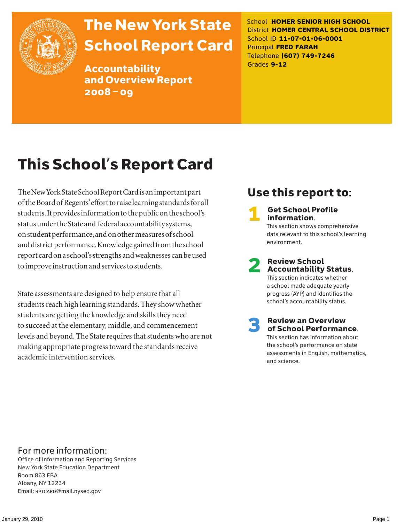

# The New York State School Report Card

Accountability and Overview Report 2008–09

School **HOMER SENIOR HIGH SCHOOL** District **HOMER CENTRAL SCHOOL DISTRICT** School ID **11-07-01-06-0001** Principal **FRED FARAH** Telephone **(607) 749-7246** Grades **9-12**

# This School's Report Card

The New York State School Report Card is an important part of the Board of Regents' effort to raise learning standards for all students. It provides information to the public on the school's status under the State and federal accountability systems, on student performance, and on other measures of school and district performance. Knowledge gained from the school report card on a school's strengths and weaknesses can be used to improve instruction and services to students.

State assessments are designed to help ensure that all students reach high learning standards. They show whether students are getting the knowledge and skills they need to succeed at the elementary, middle, and commencement levels and beyond. The State requires that students who are not making appropriate progress toward the standards receive academic intervention services.

### Use this report to:

**Get School Profile** information. This section shows comprehensive data relevant to this school's learning environment.

# 2 Review School Accountability Status.

This section indicates whether a school made adequate yearly progress (AYP) and identifies the school's accountability status.

3 Review an Overview of School Performance. This section has information about the school's performance on state assessments in English, mathematics,

and science.

For more information:

Office of Information and Reporting Services New York State Education Department Room 863 EBA Albany, NY 12234 Email: RPTCARD@mail.nysed.gov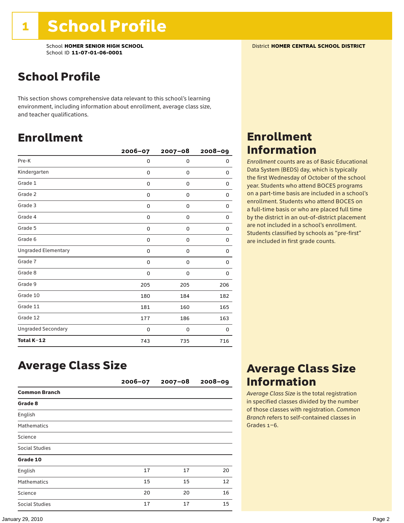School **HOMER SENIOR HIGH SCHOOL** District **HOMER CENTRAL SCHOOL DISTRICT** School ID **11-07-01-06-0001**

### School Profile

This section shows comprehensive data relevant to this school's learning environment, including information about enrollment, average class size, and teacher qualifications.

### Enrollment

|                            | 2006-07 | $2007 - 08$ | $2008 - 09$ |
|----------------------------|---------|-------------|-------------|
| Pre-K                      | 0       | 0           | 0           |
| Kindergarten               | 0       | 0           | 0           |
| Grade 1                    | 0       | 0           | 0           |
| Grade 2                    | 0       | 0           | 0           |
| Grade 3                    | 0       | 0           | 0           |
| Grade 4                    | 0       | 0           | 0           |
| Grade 5                    | 0       | 0           | 0           |
| Grade 6                    | 0       | 0           | 0           |
| <b>Ungraded Elementary</b> | 0       | 0           | 0           |
| Grade 7                    | 0       | 0           | 0           |
| Grade 8                    | 0       | 0           | 0           |
| Grade 9                    | 205     | 205         | 206         |
| Grade 10                   | 180     | 184         | 182         |
| Grade 11                   | 181     | 160         | 165         |
| Grade 12                   | 177     | 186         | 163         |
| <b>Ungraded Secondary</b>  | 0       | 0           | 0           |
| Total K-12                 | 743     | 735         | 716         |

### Average Class Size

|                      | $2006 - 07$ | $2007 - 08$ | $2008 - 09$ |
|----------------------|-------------|-------------|-------------|
| <b>Common Branch</b> |             |             |             |
| Grade 8              |             |             |             |
| English              |             |             |             |
| <b>Mathematics</b>   |             |             |             |
| Science              |             |             |             |
| Social Studies       |             |             |             |
| Grade 10             |             |             |             |
| English              | 17          | 17          | 20          |
| <b>Mathematics</b>   | 15          | 15          | 12          |
| Science              | 20          | 20          | 16          |
| Social Studies       | 17          | 17          | 15          |

### Enrollment Information

*Enrollment* counts are as of Basic Educational Data System (BEDS) day, which is typically the first Wednesday of October of the school year. Students who attend BOCES programs on a part-time basis are included in a school's enrollment. Students who attend BOCES on a full-time basis or who are placed full time by the district in an out-of-district placement are not included in a school's enrollment. Students classified by schools as "pre-first" are included in first grade counts.

### Average Class Size Information

*Average Class Size* is the total registration in specified classes divided by the number of those classes with registration. *Common Branch* refers to self-contained classes in Grades 1–6.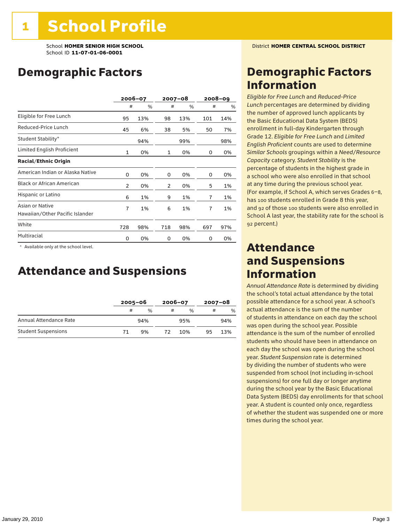School **HOMER SENIOR HIGH SCHOOL** District **HOMER CENTRAL SCHOOL DISTRICT** School ID **11-07-01-06-0001**

### Demographic Factors

|                                                    | 2006-07        |     |     | $2007 - 08$ |     | $2008 - 09$ |
|----------------------------------------------------|----------------|-----|-----|-------------|-----|-------------|
|                                                    | #              | %   | #   | %           | #   | %           |
| Eligible for Free Lunch                            | 95             | 13% | 98  | 13%         | 101 | 14%         |
| Reduced-Price Lunch                                | 45             | 6%  | 38  | 5%          | 50  | 7%          |
| Student Stability*                                 |                | 94% |     | 99%         |     | 98%         |
| Limited English Proficient                         | $\mathbf{1}$   | 0%  | 1   | 0%          | 0   | 0%          |
| <b>Racial/Ethnic Origin</b>                        |                |     |     |             |     |             |
| American Indian or Alaska Native                   | 0              | 0%  | 0   | 0%          | 0   | 0%          |
| <b>Black or African American</b>                   | $\overline{2}$ | 0%  | 2   | 0%          | 5   | 1%          |
| Hispanic or Latino                                 | 6              | 1%  | 9   | 1%          | 7   | 1%          |
| Asian or Native<br>Hawaiian/Other Pacific Islander | 7              | 1%  | 6   | 1%          | 7   | 1%          |
| White                                              | 728            | 98% | 718 | 98%         | 697 | 97%         |
| Multiracial                                        | 0              | 0%  | 0   | 0%          | 0   | 0%          |

\* Available only at the school level.

### Attendance and Suspensions

|                            |    | $2005 - 06$ |   | $2006 - 07$   |    | $2007 - 08$   |  |
|----------------------------|----|-------------|---|---------------|----|---------------|--|
|                            | #  | %           | # | $\frac{0}{6}$ | #  | $\frac{0}{6}$ |  |
| Annual Attendance Rate     |    | 94%         |   | 95%           |    | 94%           |  |
| <b>Student Suspensions</b> | 71 | 9%          |   | 10%           | 95 | 13%           |  |

### Demographic Factors Information

*Eligible for Free Lunch* and *Reduced*-*Price Lunch* percentages are determined by dividing the number of approved lunch applicants by the Basic Educational Data System (BEDS) enrollment in full-day Kindergarten through Grade 12. *Eligible for Free Lunch* and *Limited English Proficient* counts are used to determine *Similar Schools* groupings within a *Need*/*Resource Capacity* category. *Student Stability* is the percentage of students in the highest grade in a school who were also enrolled in that school at any time during the previous school year. (For example, if School A, which serves Grades 6–8, has 100 students enrolled in Grade 8 this year, and 92 of those 100 students were also enrolled in School A last year, the stability rate for the school is 92 percent.)

### Attendance and Suspensions Information

*Annual Attendance Rate* is determined by dividing the school's total actual attendance by the total possible attendance for a school year. A school's actual attendance is the sum of the number of students in attendance on each day the school was open during the school year. Possible attendance is the sum of the number of enrolled students who should have been in attendance on each day the school was open during the school year. *Student Suspension* rate is determined by dividing the number of students who were suspended from school (not including in-school suspensions) for one full day or longer anytime during the school year by the Basic Educational Data System (BEDS) day enrollments for that school year. A student is counted only once, regardless of whether the student was suspended one or more times during the school year.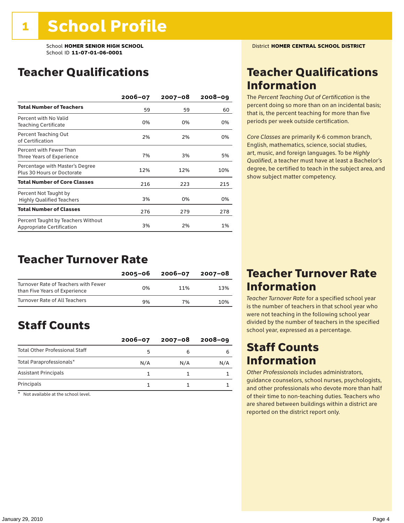### Teacher Qualifications

|                                                                 | $2006 - 07$ | $2007 - 08$ | $2008 - 09$ |
|-----------------------------------------------------------------|-------------|-------------|-------------|
| <b>Total Number of Teachers</b>                                 | 59          | 59          | 60          |
| Percent with No Valid<br>Teaching Certificate                   | 0%          | 0%          | 0%          |
| Percent Teaching Out<br>of Certification                        | 2%          | 2%          | 0%          |
| Percent with Fewer Than<br>Three Years of Experience            | 7%          | 3%          | 5%          |
| Percentage with Master's Degree<br>Plus 30 Hours or Doctorate   | 12%         | 12%         | 10%         |
| <b>Total Number of Core Classes</b>                             | 216         | 223         | 215         |
| Percent Not Taught by<br><b>Highly Qualified Teachers</b>       | 3%          | 0%          | 0%          |
| <b>Total Number of Classes</b>                                  | 276         | 279         | 278         |
| Percent Taught by Teachers Without<br>Appropriate Certification | 3%          | 2%          | 1%          |

### Teacher Turnover Rate

|                                                                       | 2005-06 | 2006-07 | 2007-08 |
|-----------------------------------------------------------------------|---------|---------|---------|
| Turnover Rate of Teachers with Fewer<br>than Five Years of Experience | በ%      | 11%     | 13%     |
| Turnover Rate of All Teachers                                         | 9%      | 7%      | 10%     |

### Staff Counts

|                                       | $2006 - 07$ | $2007 - 08$ | $2008 - 09$ |
|---------------------------------------|-------------|-------------|-------------|
| <b>Total Other Professional Staff</b> |             |             |             |
| Total Paraprofessionals*              | N/A         | N/A         | N/A         |
| <b>Assistant Principals</b>           |             |             |             |
| Principals                            |             |             |             |

\* Not available at the school level.

### Teacher Qualifications Information

The *Percent Teaching Out of Certification* is the percent doing so more than on an incidental basis; that is, the percent teaching for more than five periods per week outside certification.

*Core Classes* are primarily K-6 common branch, English, mathematics, science, social studies, art, music, and foreign languages. To be *Highly Qualified*, a teacher must have at least a Bachelor's degree, be certified to teach in the subject area, and show subject matter competency.

### Teacher Turnover Rate Information

*Teacher Turnover Rate* for a specified school year is the number of teachers in that school year who were not teaching in the following school year divided by the number of teachers in the specified school year, expressed as a percentage.

### Staff Counts **Information**

*Other Professionals* includes administrators, guidance counselors, school nurses, psychologists, and other professionals who devote more than half of their time to non-teaching duties. Teachers who are shared between buildings within a district are reported on the district report only.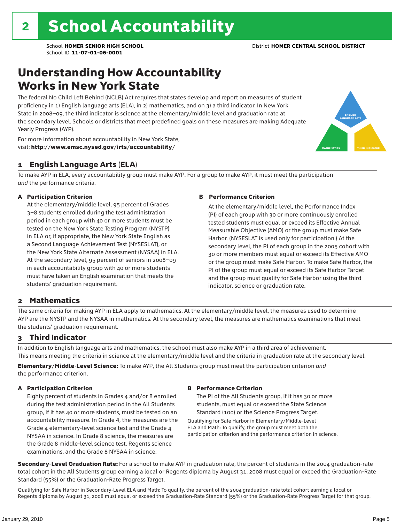### Understanding How Accountability Works in New York State

The federal No Child Left Behind (NCLB) Act requires that states develop and report on measures of student proficiency in 1) English language arts (ELA), in 2) mathematics, and on 3) a third indicator. In New York State in 2008–09, the third indicator is science at the elementary/middle level and graduation rate at the secondary level. Schools or districts that meet predefined goals on these measures are making Adequate Yearly Progress (AYP).



For more information about accountability in New York State, visit: http://www.emsc.nysed.gov/irts/accountability/

#### 1 English Language Arts (ELA)

To make AYP in ELA, every accountability group must make AYP. For a group to make AYP, it must meet the participation *and* the performance criteria.

#### A Participation Criterion

At the elementary/middle level, 95 percent of Grades 3–8 students enrolled during the test administration period in each group with 40 or more students must be tested on the New York State Testing Program (NYSTP) in ELA or, if appropriate, the New York State English as a Second Language Achievement Test (NYSESLAT), or the New York State Alternate Assessment (NYSAA) in ELA. At the secondary level, 95 percent of seniors in 2008–09 in each accountability group with 40 or more students must have taken an English examination that meets the students' graduation requirement.

#### B Performance Criterion

At the elementary/middle level, the Performance Index (PI) of each group with 30 or more continuously enrolled tested students must equal or exceed its Effective Annual Measurable Objective (AMO) or the group must make Safe Harbor. (NYSESLAT is used only for participation.) At the secondary level, the PI of each group in the 2005 cohort with 30 or more members must equal or exceed its Effective AMO or the group must make Safe Harbor. To make Safe Harbor, the PI of the group must equal or exceed its Safe Harbor Target and the group must qualify for Safe Harbor using the third indicator, science or graduation rate.

#### 2 Mathematics

The same criteria for making AYP in ELA apply to mathematics. At the elementary/middle level, the measures used to determine AYP are the NYSTP and the NYSAA in mathematics. At the secondary level, the measures are mathematics examinations that meet the students' graduation requirement.

#### 3 Third Indicator

In addition to English language arts and mathematics, the school must also make AYP in a third area of achievement. This means meeting the criteria in science at the elementary/middle level and the criteria in graduation rate at the secondary level.

Elementary/Middle-Level Science: To make AYP, the All Students group must meet the participation criterion *and* the performance criterion.

#### A Participation Criterion

Eighty percent of students in Grades 4 and/or 8 enrolled during the test administration period in the All Students group, if it has 40 or more students, must be tested on an accountability measure. In Grade 4, the measures are the Grade 4 elementary-level science test and the Grade 4 NYSAA in science. In Grade 8 science, the measures are the Grade 8 middle-level science test, Regents science examinations, and the Grade 8 NYSAA in science.

#### B Performance Criterion

The PI of the All Students group, if it has 30 or more students, must equal or exceed the State Science Standard (100) or the Science Progress Target.

Qualifying for Safe Harbor in Elementary/Middle-Level ELA and Math: To qualify, the group must meet both the participation criterion and the performance criterion in science.

Secondary-Level Graduation Rate: For a school to make AYP in graduation rate, the percent of students in the 2004 graduation-rate total cohort in the All Students group earning a local or Regents diploma by August 31, 2008 must equal or exceed the Graduation-Rate Standard (55%) or the Graduation-Rate Progress Target.

Qualifying for Safe Harbor in Secondary-Level ELA and Math: To qualify, the percent of the 2004 graduation-rate total cohort earning a local or Regents diploma by August 31, 2008 must equal or exceed the Graduation-Rate Standard (55%) or the Graduation-Rate Progress Target for that group.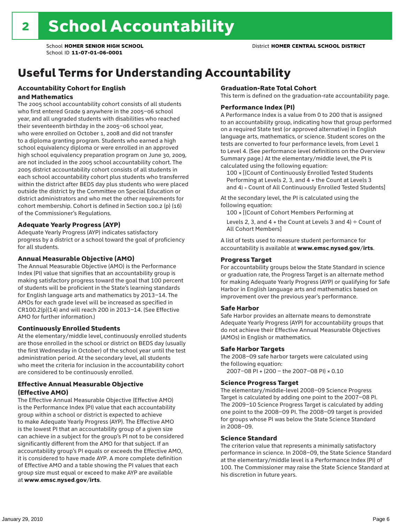### Useful Terms for Understanding Accountability

#### Accountability Cohort for English and Mathematics

The 2005 school accountability cohort consists of all students who first entered Grade 9 anywhere in the 2005–06 school year, and all ungraded students with disabilities who reached their seventeenth birthday in the 2005–06 school year, who were enrolled on October 1, 2008 and did not transfer to a diploma granting program. Students who earned a high school equivalency diploma or were enrolled in an approved high school equivalency preparation program on June 30, 2009, are not included in the 2005 school accountability cohort. The 2005 district accountability cohort consists of all students in each school accountability cohort plus students who transferred within the district after BEDS day plus students who were placed outside the district by the Committee on Special Education or district administrators and who met the other requirements for cohort membership. Cohort is defined in Section 100.2 (p) (16) of the Commissioner's Regulations.

#### Adequate Yearly Progress (AYP)

Adequate Yearly Progress (AYP) indicates satisfactory progress by a district or a school toward the goal of proficiency for all students.

#### Annual Measurable Objective (AMO)

The Annual Measurable Objective (AMO) is the Performance Index (PI) value that signifies that an accountability group is making satisfactory progress toward the goal that 100 percent of students will be proficient in the State's learning standards for English language arts and mathematics by 2013–14. The AMOs for each grade level will be increased as specified in CR100.2(p)(14) and will reach 200 in 2013–14. (See Effective AMO for further information.)

#### Continuously Enrolled Students

At the elementary/middle level, continuously enrolled students are those enrolled in the school or district on BEDS day (usually the first Wednesday in October) of the school year until the test administration period. At the secondary level, all students who meet the criteria for inclusion in the accountability cohort are considered to be continuously enrolled.

#### Effective Annual Measurable Objective (Effective AMO)

The Effective Annual Measurable Objective (Effective AMO) is the Performance Index (PI) value that each accountability group within a school or district is expected to achieve to make Adequate Yearly Progress (AYP). The Effective AMO is the lowest PI that an accountability group of a given size can achieve in a subject for the group's PI not to be considered significantly different from the AMO for that subject. If an accountability group's PI equals or exceeds the Effective AMO, it is considered to have made AYP. A more complete definition of Effective AMO and a table showing the PI values that each group size must equal or exceed to make AYP are available at www.emsc.nysed.gov/irts.

#### Graduation-Rate Total Cohort

This term is defined on the graduation-rate accountability page.

#### Performance Index (PI)

A Performance Index is a value from 0 to 200 that is assigned to an accountability group, indicating how that group performed on a required State test (or approved alternative) in English language arts, mathematics, or science. Student scores on the tests are converted to four performance levels, from Level 1 to Level 4. (See performance level definitions on the Overview Summary page.) At the elementary/middle level, the PI is calculated using the following equation:

100 × [(Count of Continuously Enrolled Tested Students Performing at Levels 2, 3, and 4 + the Count at Levels 3 and 4) ÷ Count of All Continuously Enrolled Tested Students]

At the secondary level, the PI is calculated using the following equation:

100 × [(Count of Cohort Members Performing at

Levels 2, 3, and 4 + the Count at Levels 3 and 4)  $\div$  Count of All Cohort Members]

A list of tests used to measure student performance for accountability is available at www.emsc.nysed.gov/irts.

#### Progress Target

For accountability groups below the State Standard in science or graduation rate, the Progress Target is an alternate method for making Adequate Yearly Progress (AYP) or qualifying for Safe Harbor in English language arts and mathematics based on improvement over the previous year's performance.

#### Safe Harbor

Safe Harbor provides an alternate means to demonstrate Adequate Yearly Progress (AYP) for accountability groups that do not achieve their Effective Annual Measurable Objectives (AMOs) in English or mathematics.

#### Safe Harbor Targets

The 2008–09 safe harbor targets were calculated using the following equation:

2007–08 PI + (200 – the 2007–08 PI) × 0.10

#### Science Progress Target

The elementary/middle-level 2008–09 Science Progress Target is calculated by adding one point to the 2007–08 PI. The 2009–10 Science Progress Target is calculated by adding one point to the 2008–09 PI. The 2008–09 target is provided for groups whose PI was below the State Science Standard in 2008–09.

#### Science Standard

The criterion value that represents a minimally satisfactory performance in science. In 2008–09, the State Science Standard at the elementary/middle level is a Performance Index (PI) of 100. The Commissioner may raise the State Science Standard at his discretion in future years.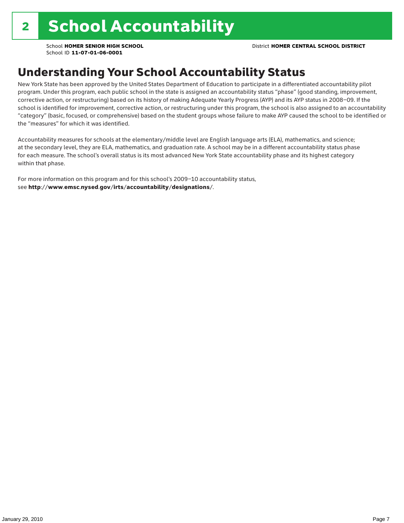### Understanding Your School Accountability Status

New York State has been approved by the United States Department of Education to participate in a differentiated accountability pilot program. Under this program, each public school in the state is assigned an accountability status "phase" (good standing, improvement, corrective action, or restructuring) based on its history of making Adequate Yearly Progress (AYP) and its AYP status in 2008–09. If the school is identified for improvement, corrective action, or restructuring under this program, the school is also assigned to an accountability "category" (basic, focused, or comprehensive) based on the student groups whose failure to make AYP caused the school to be identified or the "measures" for which it was identified.

Accountability measures for schools at the elementary/middle level are English language arts (ELA), mathematics, and science; at the secondary level, they are ELA, mathematics, and graduation rate. A school may be in a different accountability status phase for each measure. The school's overall status is its most advanced New York State accountability phase and its highest category within that phase.

For more information on this program and for this school's 2009–10 accountability status, see http://www.emsc.nysed.gov/irts/accountability/designations/.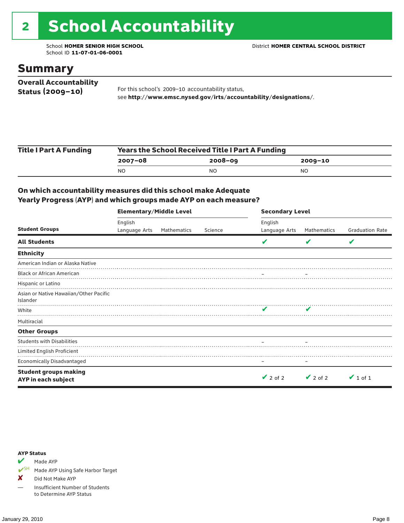# 2 School Accountability

School ID **11-07-01-06-0001**

### Summary

| <b>Overall Accountability</b> |                                                                  |
|-------------------------------|------------------------------------------------------------------|
| Status $(2009 - 10)$          | For this school's 2009-10 accountability status,                 |
|                               | see http://www.emsc.nysed.gov/irts/accountability/designations/. |

| <b>Title I Part A Funding</b> | <b>Years the School Received Title I Part A Funding</b> |             |         |  |  |  |
|-------------------------------|---------------------------------------------------------|-------------|---------|--|--|--|
|                               | 2007-08                                                 | $2008 - 09$ | 2009-10 |  |  |  |
|                               | N <sub>O</sub>                                          | NO          | NO      |  |  |  |

#### On which accountability measures did this school make Adequate Yearly Progress (AYP) and which groups made AYP on each measure?

|                                                     | <b>Elementary/Middle Level</b> |             |         | <b>Secondary Level</b> |               |                        |  |  |
|-----------------------------------------------------|--------------------------------|-------------|---------|------------------------|---------------|------------------------|--|--|
|                                                     | English                        |             |         | English                |               |                        |  |  |
| <b>Student Groups</b>                               | Language Arts                  | Mathematics | Science | Language Arts          | Mathematics   | <b>Graduation Rate</b> |  |  |
| <b>All Students</b>                                 |                                |             |         |                        | v             | V                      |  |  |
| <b>Ethnicity</b>                                    |                                |             |         |                        |               |                        |  |  |
| American Indian or Alaska Native                    |                                |             |         |                        |               |                        |  |  |
| <b>Black or African American</b>                    |                                |             |         |                        |               |                        |  |  |
| Hispanic or Latino                                  |                                |             |         |                        |               |                        |  |  |
| Asian or Native Hawaiian/Other Pacific<br>Islander  |                                |             |         |                        |               |                        |  |  |
| White                                               |                                |             |         |                        |               |                        |  |  |
| Multiracial                                         |                                |             |         |                        |               |                        |  |  |
| <b>Other Groups</b>                                 |                                |             |         |                        |               |                        |  |  |
| <b>Students with Disabilities</b>                   |                                |             |         |                        |               |                        |  |  |
| Limited English Proficient                          |                                |             |         |                        |               |                        |  |  |
| <b>Economically Disadvantaged</b>                   |                                |             |         |                        |               |                        |  |  |
| <b>Student groups making</b><br>AYP in each subject |                                |             |         | $\vee$ 2 of 2          | $\vee$ 2 of 2 | $\vee$ 1 of 1          |  |  |

#### AYP Status

 $M$  Made AYP

✔SH Made AYP Using Safe Harbor Target

✘ Did Not Make AYP

— Insufficient Number of Students to Determine AYP Status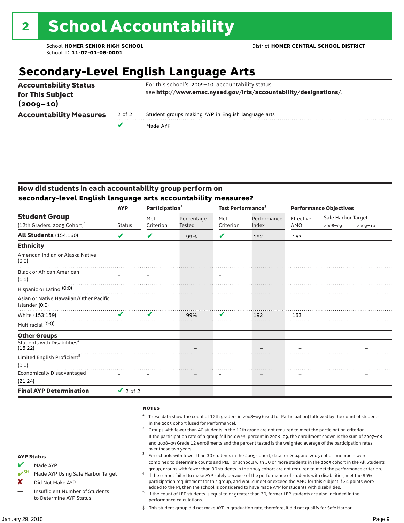### **Secondary-Level English Language Arts**

|                                   |        | Made AYP                                                         |  |  |  |
|-----------------------------------|--------|------------------------------------------------------------------|--|--|--|
| <b>Accountability Measures</b>    | 2 of 2 | Student groups making AYP in English language arts               |  |  |  |
| for This Subject<br>$(2009 - 10)$ |        | see http://www.emsc.nysed.gov/irts/accountability/designations/. |  |  |  |
| <b>Accountability Status</b>      |        | For this school's 2009-10 accountability status,                 |  |  |  |

#### How did students in each accountability group perform on **secondary-level English language arts accountability measures?**

|                                                                    | <b>AYP</b>    | Participation <sup>2</sup> |                      | Test Performance <sup>3</sup> |                      | <b>Performance Objectives</b> |                               |             |
|--------------------------------------------------------------------|---------------|----------------------------|----------------------|-------------------------------|----------------------|-------------------------------|-------------------------------|-------------|
| <b>Student Group</b><br>$(12th$ Graders: 2005 Cohort) <sup>1</sup> | <b>Status</b> | Met<br>Criterion           | Percentage<br>Tested | Met<br>Criterion              | Performance<br>Index | Effective<br>AMO              | Safe Harbor Target<br>2008-09 |             |
|                                                                    |               |                            |                      |                               |                      |                               |                               | $2009 - 10$ |
| <b>All Students (154:160)</b>                                      | V             | V                          | 99%                  | V                             | 192                  | 163                           |                               |             |
| <b>Ethnicity</b>                                                   |               |                            |                      |                               |                      |                               |                               |             |
| American Indian or Alaska Native<br>(0:0)                          |               |                            |                      |                               |                      |                               |                               |             |
| <b>Black or African American</b><br>(1:1)                          |               |                            |                      |                               |                      |                               |                               |             |
| Hispanic or Latino <sup>(0:0)</sup>                                |               |                            |                      |                               |                      |                               |                               |             |
| Asian or Native Hawaiian/Other Pacific<br>Islander (0:0)           |               |                            |                      |                               |                      |                               |                               |             |
| White (153:159)                                                    | ✔             | ✔                          | 99%                  | ✔                             | 192                  | 163                           |                               |             |
| Multiracial (0:0)                                                  |               |                            |                      |                               |                      |                               |                               |             |
| <b>Other Groups</b>                                                |               |                            |                      |                               |                      |                               |                               |             |
| Students with Disabilities <sup>4</sup><br>(15:22)                 |               |                            |                      |                               |                      |                               |                               |             |
| Limited English Proficient <sup>5</sup>                            |               |                            |                      |                               |                      |                               |                               |             |
| (0:0)                                                              |               |                            |                      |                               |                      |                               |                               |             |
| <b>Economically Disadvantaged</b><br>(21:24)                       |               |                            |                      |                               |                      |                               |                               |             |
| <b>Final AYP Determination</b>                                     | $\vee$ 2 of 2 |                            |                      |                               |                      |                               |                               |             |

#### **NOTES**

- <sup>1</sup> These data show the count of 12th graders in 2008–09 (used for Participation) followed by the count of students
- in the 2005 cohort (used for Performance).<br>Groups with fewer than 40 students in the 12th grade are not required to meet the participation criterion. If the participation rate of a group fell below 95 percent in 2008–09, the enrollment shown is the sum of 2007–08 and 2008–09 Grade 12 enrollments and the percent tested is the weighted average of the participation rates
- over those two years.  $^3$  For schools with fewer than 30 students in the 2005 cohort, data for 2004 and 2005 cohort members were combined to determine counts and PIs. For schools with 30 or more students in the 2005 cohort in the All Students
- group, groups with fewer than 30 students in the 2005 cohort are not required to meet the performance criterion. <sup>4</sup> If the school failed to make AYP solely because of the performance of students with disabilities, met the 95% participation requirement for this group, and would meet or exceed the AMO for this subject if 34 points were
- added to the PI, then the school is considered to have made AYP for students with disabilities.<br> $^5$  If the count of LEP students is equal to or greater than 30, former LEP students are also included in the performance calculations.
- ‡ This student group did not make AYP in graduation rate; therefore, it did not qualify for Safe Harbor.

AYP Status Made AYP

Insufficient Number of Students to Determine AYP Status

Made AYP Using Safe Harbor Target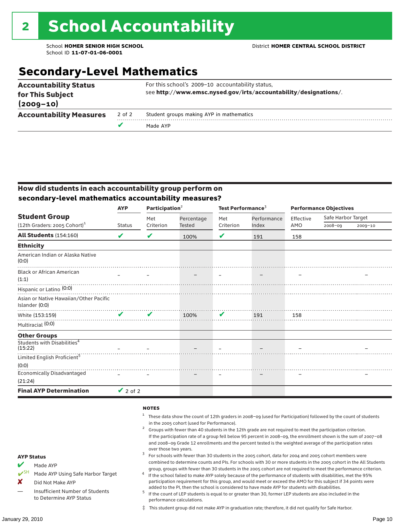### **Secondary-Level Mathematics**

| <b>Accountability Measures</b>    | 2 of 2 | Student groups making AYP in mathematics<br>Made AYP             |  |  |  |  |
|-----------------------------------|--------|------------------------------------------------------------------|--|--|--|--|
| for This Subject<br>$(2009 - 10)$ |        | see http://www.emsc.nysed.gov/irts/accountability/designations/. |  |  |  |  |
| <b>Accountability Status</b>      |        | For this school's 2009-10 accountability status,                 |  |  |  |  |

#### How did students in each accountability group perform on **secondary-level mathematics accountability measures?**

|                                                          | Participation <sup>2</sup><br><b>AYP</b> |           |               | Test Performance <sup>3</sup> |             | <b>Performance Objectives</b> |                    |             |  |
|----------------------------------------------------------|------------------------------------------|-----------|---------------|-------------------------------|-------------|-------------------------------|--------------------|-------------|--|
| <b>Student Group</b>                                     |                                          | Met       | Percentage    | Met                           | Performance | Effective                     | Safe Harbor Target |             |  |
| $(12th$ Graders: 2005 Cohort) <sup>1</sup>               | <b>Status</b>                            | Criterion | <b>Tested</b> | Criterion                     | Index       | AMO                           | $2008 - 09$        | $2009 - 10$ |  |
| <b>All Students (154:160)</b>                            | V                                        | V         | 100%          | V                             | 191         | 158                           |                    |             |  |
| <b>Ethnicity</b>                                         |                                          |           |               |                               |             |                               |                    |             |  |
| American Indian or Alaska Native<br>(0:0)                |                                          |           |               |                               |             |                               |                    |             |  |
| <b>Black or African American</b><br>(1:1)                |                                          |           |               |                               |             |                               |                    |             |  |
| Hispanic or Latino <sup>(0:0)</sup>                      |                                          |           |               |                               |             |                               |                    |             |  |
| Asian or Native Hawaiian/Other Pacific<br>Islander (0:0) |                                          |           |               |                               |             |                               |                    |             |  |
| White (153:159)                                          | ✔                                        | ✔         | 100%          | V                             | 191         | 158                           |                    |             |  |
| Multiracial (0:0)                                        |                                          |           |               |                               |             |                               |                    |             |  |
| <b>Other Groups</b>                                      |                                          |           |               |                               |             |                               |                    |             |  |
| Students with Disabilities <sup>4</sup><br>(15:22)       |                                          |           |               |                               |             |                               |                    |             |  |
| Limited English Proficient <sup>5</sup>                  |                                          |           |               |                               |             |                               |                    |             |  |
| (0:0)                                                    |                                          |           |               |                               |             |                               |                    |             |  |
| <b>Economically Disadvantaged</b><br>(21:24)             |                                          |           |               |                               |             |                               |                    |             |  |
| <b>Final AYP Determination</b>                           | $\vee$ 2 of 2                            |           |               |                               |             |                               |                    |             |  |

#### **NOTES**

- <sup>1</sup> These data show the count of 12th graders in 2008–09 (used for Participation) followed by the count of students
- in the 2005 cohort (used for Performance).<br>Groups with fewer than 40 students in the 12th grade are not required to meet the participation criterion. If the participation rate of a group fell below 95 percent in 2008–09, the enrollment shown is the sum of 2007–08 and 2008–09 Grade 12 enrollments and the percent tested is the weighted average of the participation rates
- over those two years.  $^3$  For schools with fewer than 30 students in the 2005 cohort, data for 2004 and 2005 cohort members were combined to determine counts and PIs. For schools with 30 or more students in the 2005 cohort in the All Students
- group, groups with fewer than 30 students in the 2005 cohort are not required to meet the performance criterion. <sup>4</sup> If the school failed to make AYP solely because of the performance of students with disabilities, met the 95% participation requirement for this group, and would meet or exceed the AMO for this subject if 34 points were
- added to the PI, then the school is considered to have made AYP for students with disabilities.<br> $^5$  If the count of LEP students is equal to or greater than 30, former LEP students are also included in the performance calculations.
- ‡ This student group did not make AYP in graduation rate; therefore, it did not qualify for Safe Harbor.
- Made AYP
- <del></del> I<sup>SH</sup> Made AYP Using Safe Harbor Target
- X Did Not Make AYP
- Insufficient Number of Students to Determine AYP Status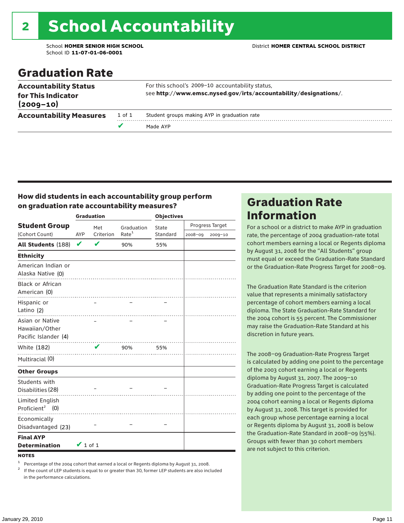# 2 School Accountability

School ID **11-07-01-06-0001**

#### School **HOMER SENIOR HIGH SCHOOL** District **HOMER CENTRAL SCHOOL DISTRICT**

### Graduation Rate

| <b>Accountability Status</b><br>for This Indicator<br>$(2009 - 10)$ |        | For this school's 2009-10 accountability status,<br>see http://www.emsc.nysed.gov/irts/accountability/designations/. |
|---------------------------------------------------------------------|--------|----------------------------------------------------------------------------------------------------------------------|
| <b>Accountability Measures</b>                                      | 1 of 1 | Student groups making AYP in graduation rate                                                                         |
|                                                                     |        | Made AYP                                                                                                             |

#### How did students in each accountability group perform on graduation rate accountability measures?

|                                                           |               | <b>Graduation</b> |                   | <b>Objectives</b> |         |                 |  |  |
|-----------------------------------------------------------|---------------|-------------------|-------------------|-------------------|---------|-----------------|--|--|
| <b>Student Group</b>                                      |               | Met               | Graduation        | State             |         | Progress Target |  |  |
| (Cohort Count)                                            | AYP           | Criterion         | Rate <sup>1</sup> | Standard          | 2008-09 | $2009 - 10$     |  |  |
| All Students (188)                                        | V             | V                 | 90%               | 55%               |         |                 |  |  |
| <b>Ethnicity</b>                                          |               |                   |                   |                   |         |                 |  |  |
| American Indian or<br>Alaska Native (0)                   |               |                   |                   |                   |         |                 |  |  |
| <b>Black or African</b><br>American (0)                   |               |                   |                   |                   |         |                 |  |  |
| Hispanic or<br>Latino (2)                                 |               |                   |                   |                   |         |                 |  |  |
| Asian or Native<br>Hawaiian/Other<br>Pacific Islander (4) |               |                   |                   |                   |         |                 |  |  |
| White (182)                                               |               | V                 | 90%               | 55%               |         |                 |  |  |
| Multiracial (0)                                           |               |                   |                   |                   |         |                 |  |  |
| <b>Other Groups</b>                                       |               |                   |                   |                   |         |                 |  |  |
| Students with<br>Disabilities (28)                        |               | .                 |                   |                   |         |                 |  |  |
| Limited English<br>Proficient <sup>2</sup> (0)            |               |                   |                   |                   |         |                 |  |  |
| Economically<br>Disadvantaged (23)                        |               |                   |                   |                   |         |                 |  |  |
| <b>Final AYP</b><br><b>Determination</b>                  | $\vee$ 1 of 1 |                   |                   |                   |         |                 |  |  |
| <b>NOTES</b>                                              |               |                   |                   |                   |         |                 |  |  |

<sup>1</sup> Percentage of the 2004 cohort that earned a local or Regents diploma by August 31, 2008.<br><sup>2</sup> If the count of LEP students is equal to or greater than 30, former LEP students are also included

in the performance calculations.

### Graduation Rate Information

For a school or a district to make AYP in graduation rate, the percentage of 2004 graduation-rate total cohort members earning a local or Regents diploma by August 31, 2008 for the "All Students" group must equal or exceed the Graduation-Rate Standard or the Graduation-Rate Progress Target for 2008–09.

The Graduation Rate Standard is the criterion value that represents a minimally satisfactory percentage of cohort members earning a local diploma. The State Graduation-Rate Standard for the 2004 cohort is 55 percent. The Commissioner may raise the Graduation-Rate Standard at his discretion in future years.

The 2008–09 Graduation-Rate Progress Target is calculated by adding one point to the percentage of the 2003 cohort earning a local or Regents diploma by August 31, 2007. The 2009–10 Graduation-Rate Progress Target is calculated by adding one point to the percentage of the 2004 cohort earning a local or Regents diploma by August 31, 2008. This target is provided for each group whose percentage earning a local or Regents diploma by August 31, 2008 is below the Graduation-Rate Standard in 2008–09 (55%). Groups with fewer than 30 cohort members are not subject to this criterion.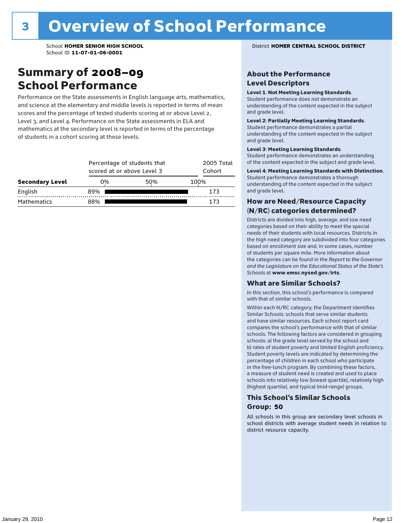### Summary of 2008–09 School Performance

Performance on the State assessments in English language arts, mathematics, and science at the elementary and middle levels is reported in terms of mean scores and the percentage of tested students scoring at or above Level 2, Level 3, and Level 4. Performance on the State assessments in ELA and mathematics at the secondary level is reported in terms of the percentage of students in a cohort scoring at these levels.

|                        |     | Percentage of students that<br>scored at or above Level 3 |      |  |  |
|------------------------|-----|-----------------------------------------------------------|------|--|--|
| <b>Secondary Level</b> | 0%  | 50%                                                       | 100% |  |  |
| English                | 89% |                                                           | 173  |  |  |
| <b>Mathematics</b>     | 88% |                                                           | 173  |  |  |

School **HOMER SENIOR HIGH SCHOOL** District **HOMER CENTRAL SCHOOL DISTRICT**

#### About the Performance Level Descriptors

#### Level 1: Not Meeting Learning Standards.

Student performance does not demonstrate an understanding of the content expected in the subject and grade level.

#### Level 2: Partially Meeting Learning Standards.

Student performance demonstrates a partial understanding of the content expected in the subject and grade level.

#### Level 3: Meeting Learning Standards.

Student performance demonstrates an understanding of the content expected in the subject and grade level.

#### Level 4: Meeting Learning Standards with Distinction.

Student performance demonstrates a thorough understanding of the content expected in the subject and grade level.

#### How are Need/Resource Capacity (N/RC) categories determined?

Districts are divided into high, average, and low need categories based on their ability to meet the special needs of their students with local resources. Districts in the high need category are subdivided into four categories based on enrollment size and, in some cases, number of students per square mile. More information about the categories can be found in the *Report to the Governor and the Legislature on the Educational Status of the State's Schools* at www.emsc.nysed.gov/irts.

#### What are Similar Schools?

In this section, this school's performance is compared with that of similar schools.

Within each N/RC category, the Department identifies Similar Schools: schools that serve similar students and have similar resources. Each school report card compares the school's performance with that of similar schools. The following factors are considered in grouping schools: a) the grade level served by the school and b) rates of student poverty and limited English proficiency. Student poverty levels are indicated by determining the percentage of children in each school who participate in the free-lunch program. By combining these factors, a measure of student need is created and used to place schools into relatively low (lowest quartile), relatively high (highest quartile), and typical (mid-range) groups.

#### This School's Similar Schools Group: **50**

All schools in this group are secondary level schools in school districts with average student needs in relation to district resource capacity.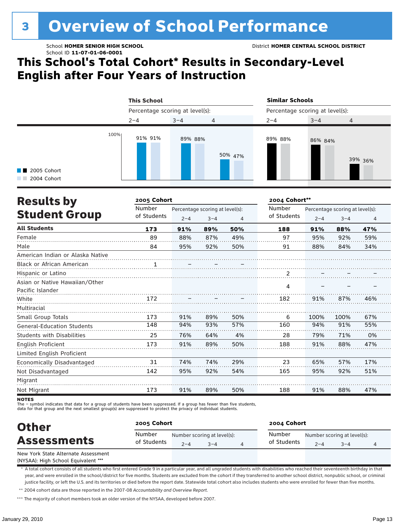# **3 Overview of School Performance**

### **This School's Total Cohort\* Results in Secondary-Level English after Four Years of Instruction**



| <b>Results by</b>                 | 2005 Cohort  |                                 | 2004 Cohort** |     |             |         |                                 |                |
|-----------------------------------|--------------|---------------------------------|---------------|-----|-------------|---------|---------------------------------|----------------|
|                                   | Number       | Percentage scoring at level(s): |               |     | Number      |         | Percentage scoring at level(s): |                |
| <b>Student Group</b>              | of Students  | $2 - 4$                         | $3 - 4$       | 4   | of Students | $2 - 4$ | $3 - 4$                         | $\overline{4}$ |
| <b>All Students</b>               | 173          | 91%                             | 89%           | 50% | 188         | 91%     | 88%                             | 47%            |
| Female                            | 89           | 88%                             | 87%           | 49% | 97          | 95%     | 92%                             | 59%            |
| Male                              | 84           | 95%                             | 92%           | 50% | 91          | 88%     | 84%                             | 34%            |
| American Indian or Alaska Native  |              |                                 |               |     |             |         |                                 |                |
| <b>Black or African American</b>  | $\mathbf{1}$ |                                 |               |     |             |         |                                 |                |
| Hispanic or Latino                |              |                                 |               |     |             |         |                                 |                |
| Asian or Native Hawaiian/Other    |              |                                 |               |     |             |         |                                 |                |
| Pacific Islander                  |              |                                 |               |     | 4           |         |                                 |                |
| White                             | 172          |                                 |               |     | 182         | 91%     | 87%                             | 46%            |
| Multiracial                       |              |                                 |               |     |             |         |                                 |                |
| Small Group Totals                | 173          | 91%                             | 89%           | 50% | 6           | 100%    | 100%                            | 67%            |
| <b>General-Education Students</b> | 148          | 94%                             | 93%           | 57% | 160         | 94%     | 91%                             | 55%            |
| <b>Students with Disabilities</b> | 25           | 76%                             | 64%           | 4%  | 28          | 79%     | 71%                             | 0%             |
| English Proficient                | 173          | 91%                             | 89%           | 50% | 188         | 91%     | 88%                             | 47%            |
| Limited English Proficient        |              |                                 |               |     |             |         |                                 |                |
| Economically Disadvantaged        | 31           | 74%                             | 74%           | 29% | 23          | 65%     | 57%                             | 17%            |
| Not Disadvantaged                 | 142          | 95%                             | 92%           | 54% | 165         | 95%     | 92%                             | 51%            |
| Migrant                           |              |                                 |               |     |             |         |                                 |                |
| Not Migrant                       | 173          | 91%                             | 89%           | 50% | 188         | 91%     | 88%                             | 47%            |

**NOTES** 

The – symbol indicates that data for a group of students have been suppressed. If a group has fewer than five students,

data for that group and the next smallest group(s) are suppressed to protect the privacy of individual students.

| <b>Other</b>                        | 2005 Cohort           |         |                                     | 2004 Cohort           |         |                                        |  |  |
|-------------------------------------|-----------------------|---------|-------------------------------------|-----------------------|---------|----------------------------------------|--|--|
| <b>Assessments</b>                  | Number<br>of Students | $2 - 4$ | Number scoring at level(s):<br>$-4$ | Number<br>of Students | $2 - 4$ | Number scoring at level(s):<br>$3 - 4$ |  |  |
| New York State Alternate Assessment |                       |         |                                     |                       |         |                                        |  |  |

(NYSAA): High School Equivalent \*\*\*

\* A total cohort consists of all students who first entered Grade 9 in a particular year, and all ungraded students with disabilities who reached their seventeenth birthday in that year, and were enrolled in the school/district for five months. Students are excluded from the cohort if they transferred to another school district, nonpublic school, or criminal justice facility, or left the U.S. and its territories or died before the report date. Statewide total cohort also includes students who were enrolled for fewer than five months.

\*\* 2004 cohort data are those reported in the 2007-08 *Accountability and Overview Report*.

\*\*\* The majority of cohort members took an older version of the NYSAA, developed before 2007.